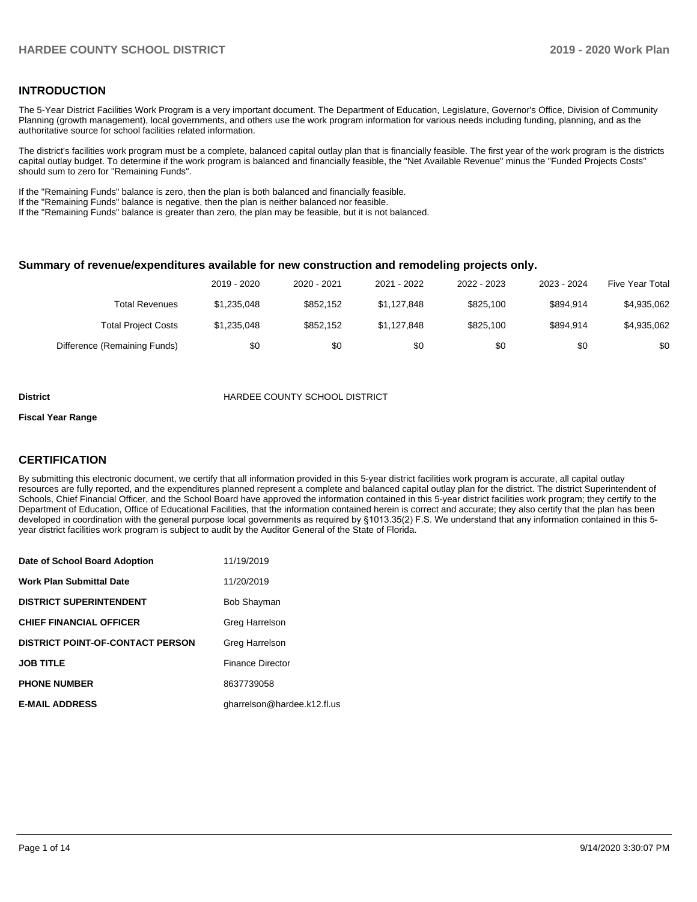### **INTRODUCTION**

The 5-Year District Facilities Work Program is a very important document. The Department of Education, Legislature, Governor's Office, Division of Community Planning (growth management), local governments, and others use the work program information for various needs including funding, planning, and as the authoritative source for school facilities related information.

The district's facilities work program must be a complete, balanced capital outlay plan that is financially feasible. The first year of the work program is the districts capital outlay budget. To determine if the work program is balanced and financially feasible, the "Net Available Revenue" minus the "Funded Projects Costs" should sum to zero for "Remaining Funds".

If the "Remaining Funds" balance is zero, then the plan is both balanced and financially feasible.

If the "Remaining Funds" balance is negative, then the plan is neither balanced nor feasible.

If the "Remaining Funds" balance is greater than zero, the plan may be feasible, but it is not balanced.

#### **Summary of revenue/expenditures available for new construction and remodeling projects only.**

|                              | 2019 - 2020 | 2020 - 2021 | 2021 - 2022 | 2022 - 2023 | 2023 - 2024 | Five Year Total |
|------------------------------|-------------|-------------|-------------|-------------|-------------|-----------------|
| Total Revenues               | \$1,235,048 | \$852.152   | \$1.127.848 | \$825.100   | \$894.914   | \$4,935,062     |
| <b>Total Project Costs</b>   | \$1,235,048 | \$852.152   | \$1.127.848 | \$825.100   | \$894.914   | \$4,935,062     |
| Difference (Remaining Funds) | \$0         | \$0         | \$0         | \$0         | \$0         | \$0             |

#### **District COUNTY SCHOOL DISTRICT**

#### **Fiscal Year Range**

## **CERTIFICATION**

By submitting this electronic document, we certify that all information provided in this 5-year district facilities work program is accurate, all capital outlay resources are fully reported, and the expenditures planned represent a complete and balanced capital outlay plan for the district. The district Superintendent of Schools, Chief Financial Officer, and the School Board have approved the information contained in this 5-year district facilities work program; they certify to the Department of Education, Office of Educational Facilities, that the information contained herein is correct and accurate; they also certify that the plan has been developed in coordination with the general purpose local governments as required by §1013.35(2) F.S. We understand that any information contained in this 5 year district facilities work program is subject to audit by the Auditor General of the State of Florida.

| Date of School Board Adoption           | 11/19/2019                  |
|-----------------------------------------|-----------------------------|
| <b>Work Plan Submittal Date</b>         | 11/20/2019                  |
| <b>DISTRICT SUPERINTENDENT</b>          | <b>Bob Shayman</b>          |
| <b>CHIEF FINANCIAL OFFICER</b>          | Greg Harrelson              |
| <b>DISTRICT POINT-OF-CONTACT PERSON</b> | Greg Harrelson              |
| <b>JOB TITLE</b>                        | <b>Finance Director</b>     |
| <b>PHONE NUMBER</b>                     | 8637739058                  |
| <b>E-MAIL ADDRESS</b>                   | gharrelson@hardee.k12.fl.us |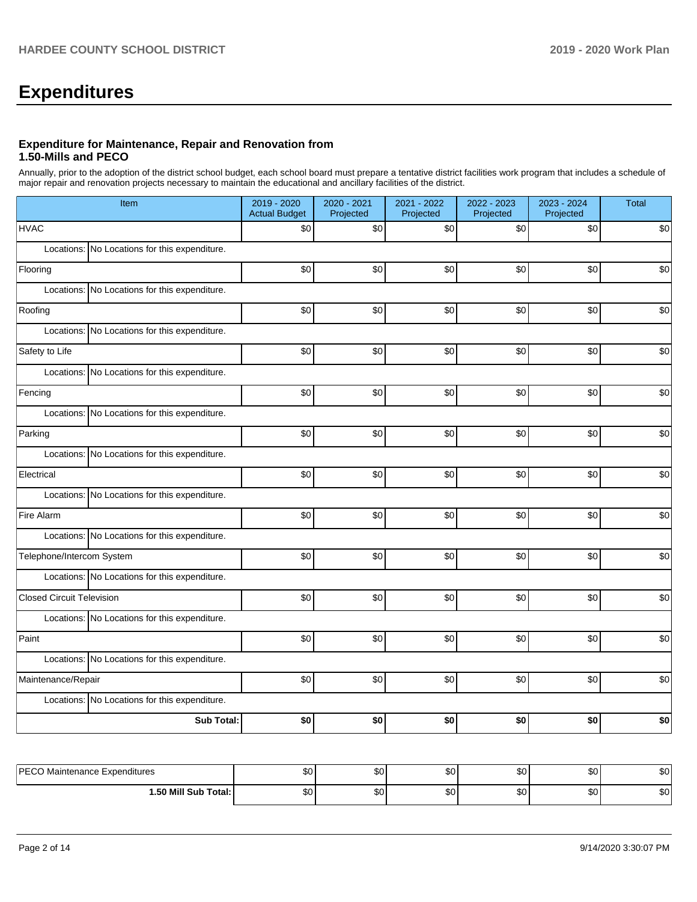# **Expenditures**

### **Expenditure for Maintenance, Repair and Renovation from 1.50-Mills and PECO**

Annually, prior to the adoption of the district school budget, each school board must prepare a tentative district facilities work program that includes a schedule of major repair and renovation projects necessary to maintain the educational and ancillary facilities of the district.

| Item                                          | 2019 - 2020<br><b>Actual Budget</b> | 2020 - 2021<br>Projected | 2021 - 2022<br>Projected | 2022 - 2023<br>Projected | 2023 - 2024<br>Projected | Total |  |  |  |  |
|-----------------------------------------------|-------------------------------------|--------------------------|--------------------------|--------------------------|--------------------------|-------|--|--|--|--|
| <b>HVAC</b>                                   | \$0                                 | \$0                      | $$0$$                    | \$0                      | \$0                      | \$0   |  |  |  |  |
| Locations: No Locations for this expenditure. |                                     |                          |                          |                          |                          |       |  |  |  |  |
| Flooring                                      | \$0                                 | \$0                      | \$0                      | \$0                      | \$0                      | \$0   |  |  |  |  |
| Locations: No Locations for this expenditure. |                                     |                          |                          |                          |                          |       |  |  |  |  |
| Roofing                                       | \$0                                 | \$0                      | \$0                      | $$0$$                    | \$0                      | \$0   |  |  |  |  |
| Locations: No Locations for this expenditure. |                                     |                          |                          |                          |                          |       |  |  |  |  |
| Safety to Life                                | \$0                                 | \$0                      | \$0                      | \$0                      | \$0                      | \$0   |  |  |  |  |
| Locations: No Locations for this expenditure. |                                     |                          |                          |                          |                          |       |  |  |  |  |
| Fencing                                       | \$0                                 | \$0                      | \$0                      | \$0                      | \$0                      | \$0   |  |  |  |  |
| Locations: No Locations for this expenditure. |                                     |                          |                          |                          |                          |       |  |  |  |  |
| Parking                                       | \$0                                 | \$0                      | \$0                      | \$0                      | \$0                      | \$0   |  |  |  |  |
| Locations: No Locations for this expenditure. |                                     |                          |                          |                          |                          |       |  |  |  |  |
| Electrical                                    | \$0                                 | \$0                      | \$0                      | \$0                      | \$0                      | \$0   |  |  |  |  |
| Locations: No Locations for this expenditure. |                                     |                          |                          |                          |                          |       |  |  |  |  |
| Fire Alarm                                    | \$0                                 | \$0                      | $$0$$                    | \$0                      | \$0                      | \$0   |  |  |  |  |
| Locations: No Locations for this expenditure. |                                     |                          |                          |                          |                          |       |  |  |  |  |
| Telephone/Intercom System                     | \$0                                 | \$0                      | \$0                      | \$0                      | \$0                      | \$0   |  |  |  |  |
| Locations: No Locations for this expenditure. |                                     |                          |                          |                          |                          |       |  |  |  |  |
| <b>Closed Circuit Television</b>              | \$0                                 | \$0                      | \$0                      | \$0                      | \$0                      | \$0   |  |  |  |  |
| Locations: No Locations for this expenditure. |                                     |                          |                          |                          |                          |       |  |  |  |  |
| Paint                                         | $$0$$                               | $$0$$                    | $$0$$                    | \$0                      | \$0                      | \$0   |  |  |  |  |
| Locations: No Locations for this expenditure. |                                     |                          |                          |                          |                          |       |  |  |  |  |
| Maintenance/Repair                            | \$0                                 | \$0                      | \$0                      | \$0                      | \$0                      | \$0   |  |  |  |  |
| Locations: No Locations for this expenditure. |                                     |                          |                          |                          |                          |       |  |  |  |  |
| Sub Total:                                    | \$0                                 | \$0                      | \$0                      | \$0                      | \$0                      | \$0   |  |  |  |  |
|                                               |                                     |                          |                          |                          |                          |       |  |  |  |  |
| PECO Maintenance Expenditures                 | \$0 <sub>l</sub>                    | \$0 <sub>1</sub>         | \$0                      | \$0                      | \$0                      | \$0   |  |  |  |  |

| <b>DECC</b><br>Maintenance Expenditures<br>$\sim$ | ሶሳ<br>υG | ጡ ራ<br>w | <u>ኍへ</u><br>w   | $\sim$<br>ມບ | ሖ<br>ູບບ  | n n<br>งบ |
|---------------------------------------------------|----------|----------|------------------|--------------|-----------|-----------|
| Total:<br>.50 <sub>N</sub><br>Sub<br>Mill         | ሖ<br>ΦU  | ጡ<br>w   | <u> ጉ</u><br>ີນບ | ົ<br>ມບ      | m -<br>υU | ሶስ<br>งบ  |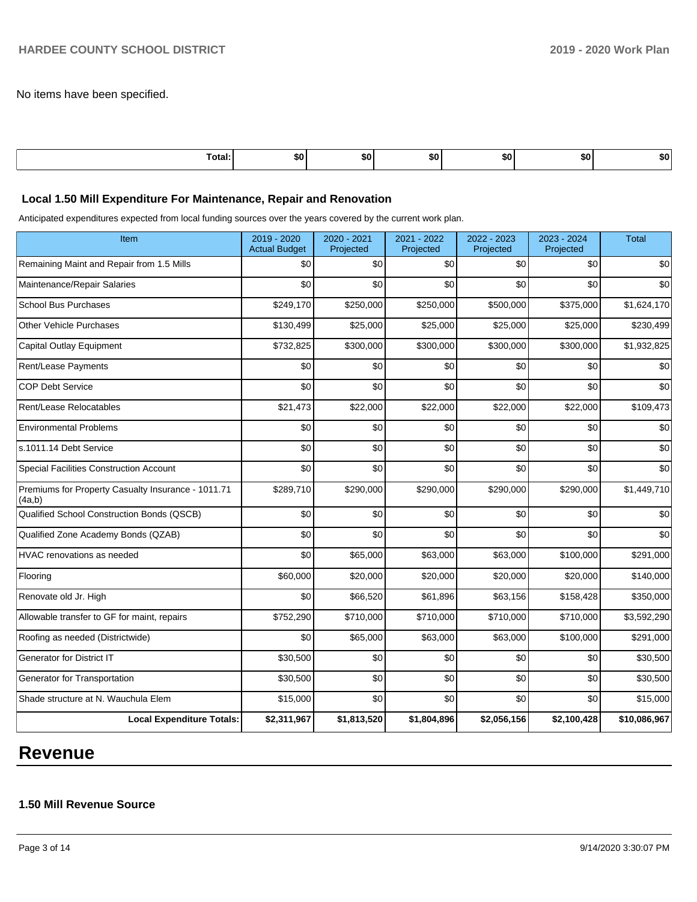No items have been specified.

| .<br>ı otal<br>. | . .<br>⊸o∪∴ | SO. | . .<br>- | SO. | 50 | 50. |
|------------------|-------------|-----|----------|-----|----|-----|
|                  |             |     |          |     |    |     |

### **Local 1.50 Mill Expenditure For Maintenance, Repair and Renovation**

Anticipated expenditures expected from local funding sources over the years covered by the current work plan.

| Item                                                         | 2019 - 2020<br><b>Actual Budget</b> | 2020 - 2021<br>Projected | 2021 - 2022<br>Projected | 2022 - 2023<br>Projected | 2023 - 2024<br>Projected | <b>Total</b> |
|--------------------------------------------------------------|-------------------------------------|--------------------------|--------------------------|--------------------------|--------------------------|--------------|
| Remaining Maint and Repair from 1.5 Mills                    | \$0                                 | \$0                      | \$0                      | \$0                      | \$0                      | \$0          |
| Maintenance/Repair Salaries                                  | \$0                                 | \$0                      | \$0                      | \$0                      | \$0                      | \$0          |
| <b>School Bus Purchases</b>                                  | \$249,170                           | \$250,000                | \$250,000                | \$500,000                | \$375,000                | \$1,624,170  |
| <b>Other Vehicle Purchases</b>                               | \$130,499                           | \$25,000                 | \$25,000                 | \$25,000                 | \$25,000                 | \$230,499    |
| <b>Capital Outlay Equipment</b>                              | \$732,825                           | \$300,000                | \$300,000                | \$300,000                | \$300,000                | \$1,932,825  |
| Rent/Lease Payments                                          | \$0                                 | \$0                      | \$0                      | \$0                      | \$0                      | \$0          |
| <b>COP Debt Service</b>                                      | \$0                                 | \$0                      | \$0                      | \$0                      | \$0                      | \$0          |
| Rent/Lease Relocatables                                      | \$21,473                            | \$22,000                 | \$22,000                 | \$22,000                 | \$22,000                 | \$109,473    |
| <b>Environmental Problems</b>                                | \$0                                 | \$0                      | \$0                      | \$0                      | \$0                      | \$0          |
| s.1011.14 Debt Service                                       | \$0                                 | \$0                      | \$0                      | \$0                      | \$0                      | \$0          |
| Special Facilities Construction Account                      | \$0                                 | \$0                      | \$0                      | \$0                      | \$0                      | \$0          |
| Premiums for Property Casualty Insurance - 1011.71<br>(4a,b) | \$289,710                           | \$290,000                | \$290,000                | \$290,000                | \$290,000                | \$1,449,710  |
| Qualified School Construction Bonds (QSCB)                   | \$0                                 | \$0                      | \$0                      | \$0                      | \$0                      | \$0          |
| Qualified Zone Academy Bonds (QZAB)                          | \$0                                 | \$0                      | \$0                      | \$0                      | \$0                      | \$0          |
| <b>HVAC</b> renovations as needed                            | \$0                                 | \$65,000                 | \$63,000                 | \$63,000                 | \$100,000                | \$291,000    |
| Flooring                                                     | \$60,000                            | \$20,000                 | \$20,000                 | \$20,000                 | \$20,000                 | \$140,000    |
| Renovate old Jr. High                                        | \$0                                 | \$66,520                 | \$61,896                 | \$63,156                 | \$158,428                | \$350,000    |
| Allowable transfer to GF for maint, repairs                  | \$752,290                           | \$710,000                | \$710,000                | \$710,000                | \$710,000                | \$3,592,290  |
| Roofing as needed (Districtwide)                             | \$0                                 | \$65,000                 | \$63,000                 | \$63,000                 | \$100,000                | \$291,000    |
| <b>Generator for District IT</b>                             | \$30,500                            | \$0                      | \$0                      | \$0                      | \$0                      | \$30,500     |
| Generator for Transportation                                 | \$30,500                            | \$0                      | \$0                      | \$0                      | \$0                      | \$30,500     |
| Shade structure at N. Wauchula Elem                          | \$15,000                            | \$0                      | \$0                      | \$0                      | \$0                      | \$15,000     |
| <b>Local Expenditure Totals:</b>                             | \$2,311,967                         | \$1,813,520              | \$1,804,896              | \$2,056,156              | \$2,100,428              | \$10,086,967 |

# **Revenue**

# **1.50 Mill Revenue Source**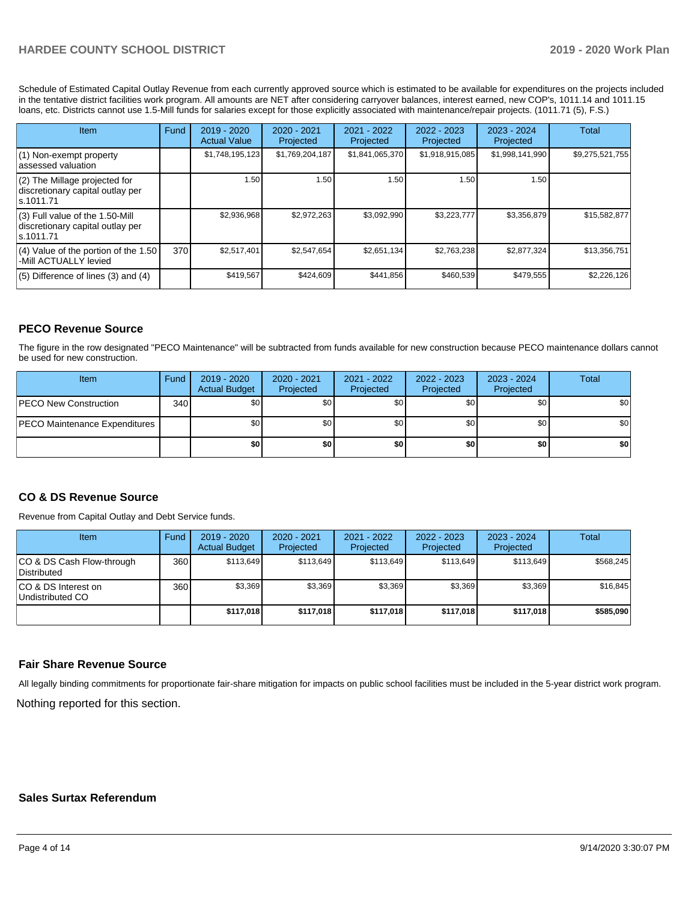Schedule of Estimated Capital Outlay Revenue from each currently approved source which is estimated to be available for expenditures on the projects included in the tentative district facilities work program. All amounts are NET after considering carryover balances, interest earned, new COP's, 1011.14 and 1011.15 loans, etc. Districts cannot use 1.5-Mill funds for salaries except for those explicitly associated with maintenance/repair projects. (1011.71 (5), F.S.)

| Item                                                                                | Fund | $2019 - 2020$<br><b>Actual Value</b> | $2020 - 2021$<br>Projected | 2021 - 2022<br>Projected | $2022 - 2023$<br>Projected | $2023 - 2024$<br>Projected | Total           |
|-------------------------------------------------------------------------------------|------|--------------------------------------|----------------------------|--------------------------|----------------------------|----------------------------|-----------------|
| $(1)$ Non-exempt property<br>lassessed valuation                                    |      | \$1,748,195,123                      | \$1,769,204,187            | \$1,841,065,370          | \$1,918,915,085            | \$1,998,141,990            | \$9,275,521,755 |
| $(2)$ The Millage projected for<br>discretionary capital outlay per<br>ls.1011.71   |      | 1.50                                 | 1.50                       | 1.50                     | 1.50                       | 1.50                       |                 |
| $(3)$ Full value of the 1.50-Mill<br>discretionary capital outlay per<br>ls.1011.71 |      | \$2,936,968                          | \$2,972,263                | \$3,092,990              | \$3,223,777                | \$3,356,879                | \$15,582,877    |
| $(4)$ Value of the portion of the 1.50<br>-Mill ACTUALLY levied                     | 370  | \$2.517.401                          | \$2.547.654                | \$2,651,134              | \$2,763,238                | \$2,877,324                | \$13,356,751    |
| $(5)$ Difference of lines $(3)$ and $(4)$                                           |      | \$419,567                            | \$424,609                  | \$441,856                | \$460,539                  | \$479,555                  | \$2,226,126     |

## **PECO Revenue Source**

The figure in the row designated "PECO Maintenance" will be subtracted from funds available for new construction because PECO maintenance dollars cannot be used for new construction.

| Item                                 | Fund | 2019 - 2020<br><b>Actual Budget</b> | 2020 - 2021<br>Projected | 2021 - 2022<br>Projected | $2022 - 2023$<br>Projected | 2023 - 2024<br>Projected | Total            |
|--------------------------------------|------|-------------------------------------|--------------------------|--------------------------|----------------------------|--------------------------|------------------|
| <b>IPECO New Construction</b>        | 340  | \$0                                 | \$٥Ι                     | \$0                      | \$0                        | \$0                      | \$0              |
| <b>PECO Maintenance Expenditures</b> |      | \$0                                 | \$٥Ι                     | \$0                      | \$0 <sub>1</sub>           | \$0                      | \$0 <sub>1</sub> |
|                                      |      | \$0                                 | \$0                      | \$0                      | \$0                        | \$0                      | \$0              |

## **CO & DS Revenue Source**

Revenue from Capital Outlay and Debt Service funds.

| <b>Item</b>                              | Fund | 2019 - 2020<br><b>Actual Budget</b> | 2020 - 2021<br>Projected | 2021 - 2022<br>Projected | 2022 - 2023<br>Projected | $2023 - 2024$<br>Projected | Total     |
|------------------------------------------|------|-------------------------------------|--------------------------|--------------------------|--------------------------|----------------------------|-----------|
| CO & DS Cash Flow-through<br>Distributed | 360  | \$113.649                           | \$113.649                | \$113.649                | \$113.649                | \$113,649                  | \$568,245 |
| CO & DS Interest on<br>Undistributed CO  | 360  | \$3,369                             | \$3,369                  | \$3,369                  | \$3,369                  | \$3,369                    | \$16,845  |
|                                          |      | \$117,018                           | \$117,018                | \$117,018                | \$117.018                | \$117,018                  | \$585,090 |

### **Fair Share Revenue Source**

Nothing reported for this section. All legally binding commitments for proportionate fair-share mitigation for impacts on public school facilities must be included in the 5-year district work program.

## **Sales Surtax Referendum**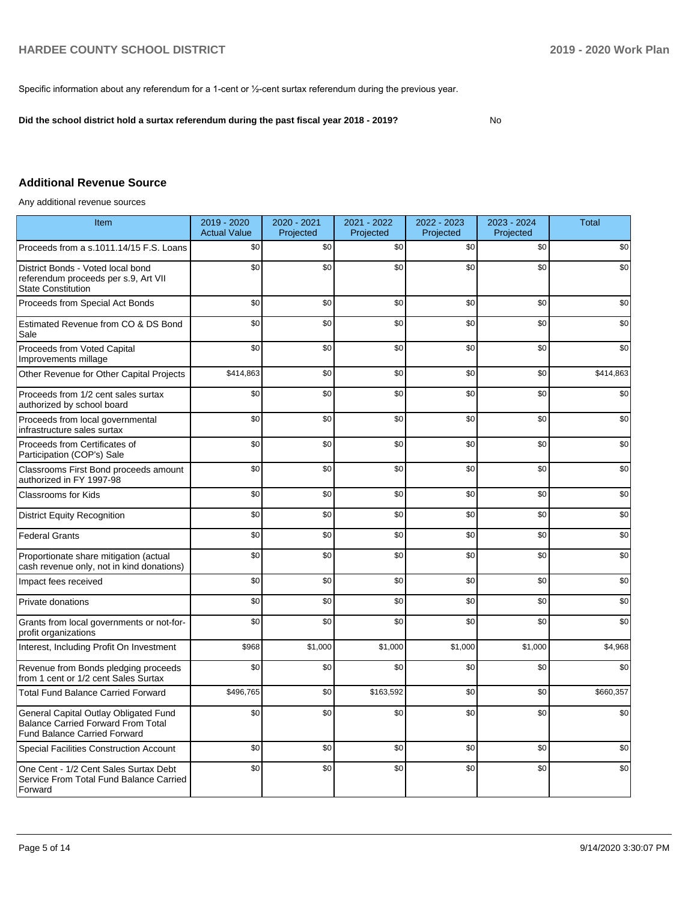Specific information about any referendum for a 1-cent or ½-cent surtax referendum during the previous year.

**Did the school district hold a surtax referendum during the past fiscal year 2018 - 2019?**

No

## **Additional Revenue Source**

Any additional revenue sources

| Item                                                                                                                      | 2019 - 2020<br><b>Actual Value</b> | 2020 - 2021<br>Projected | 2021 - 2022<br>Projected | 2022 - 2023<br>Projected | 2023 - 2024<br>Projected | <b>Total</b> |
|---------------------------------------------------------------------------------------------------------------------------|------------------------------------|--------------------------|--------------------------|--------------------------|--------------------------|--------------|
| Proceeds from a s.1011.14/15 F.S. Loans                                                                                   | \$0                                | \$0                      | \$0                      | \$0                      | \$0                      | \$0          |
| District Bonds - Voted local bond<br>referendum proceeds per s.9, Art VII<br><b>State Constitution</b>                    | \$0                                | \$0                      | \$0                      | \$0                      | \$0                      | \$0          |
| Proceeds from Special Act Bonds                                                                                           | \$0                                | \$0                      | \$0                      | \$0                      | \$0                      | \$0          |
| Estimated Revenue from CO & DS Bond<br>Sale                                                                               | \$0                                | \$0                      | \$0                      | \$0                      | \$0                      | \$0          |
| Proceeds from Voted Capital<br>Improvements millage                                                                       | \$0                                | \$0                      | \$0                      | \$0                      | \$0                      | \$0          |
| Other Revenue for Other Capital Projects                                                                                  | \$414,863                          | \$0                      | \$0                      | \$0                      | \$0                      | \$414,863    |
| Proceeds from 1/2 cent sales surtax<br>authorized by school board                                                         | \$0                                | \$0                      | \$0                      | \$0                      | \$0                      | \$0          |
| Proceeds from local governmental<br>infrastructure sales surtax                                                           | \$0                                | \$0                      | \$0                      | \$0                      | \$0                      | \$0          |
| Proceeds from Certificates of<br>Participation (COP's) Sale                                                               | \$0                                | \$0                      | \$0                      | \$0                      | \$0                      | \$0          |
| Classrooms First Bond proceeds amount<br>authorized in FY 1997-98                                                         | \$0                                | \$0                      | \$0                      | \$0                      | \$0                      | \$0          |
| Classrooms for Kids                                                                                                       | \$0                                | \$0                      | \$0                      | \$0                      | \$0                      | \$0          |
| <b>District Equity Recognition</b>                                                                                        | \$0                                | \$0                      | \$0                      | \$0                      | \$0                      | \$0          |
| <b>Federal Grants</b>                                                                                                     | \$0                                | \$0                      | \$0                      | \$0                      | \$0                      | \$0          |
| Proportionate share mitigation (actual<br>cash revenue only, not in kind donations)                                       | \$0                                | \$0                      | \$0                      | \$0                      | \$0                      | \$0          |
| Impact fees received                                                                                                      | \$0                                | \$0                      | \$0                      | \$0                      | \$0                      | \$0          |
| Private donations                                                                                                         | \$0                                | \$0                      | \$0                      | \$0                      | \$0                      | \$0          |
| Grants from local governments or not-for-<br>profit organizations                                                         | \$0                                | \$0                      | \$0                      | \$0                      | \$0                      | \$0          |
| Interest, Including Profit On Investment                                                                                  | \$968                              | \$1,000                  | \$1,000                  | \$1,000                  | \$1,000                  | \$4,968      |
| Revenue from Bonds pledging proceeds<br>from 1 cent or 1/2 cent Sales Surtax                                              | \$0                                | \$0                      | \$0                      | \$0                      | \$0                      | \$0          |
| <b>Total Fund Balance Carried Forward</b>                                                                                 | \$496,765                          | \$0                      | \$163,592                | \$0                      | \$0                      | \$660,357    |
| General Capital Outlay Obligated Fund<br><b>Balance Carried Forward From Total</b><br><b>Fund Balance Carried Forward</b> | \$0                                | \$0                      | \$0                      | \$0                      | \$0                      | \$0          |
| <b>Special Facilities Construction Account</b>                                                                            | \$0                                | \$0                      | \$0                      | \$0                      | \$0                      | \$0          |
| One Cent - 1/2 Cent Sales Surtax Debt<br>Service From Total Fund Balance Carried<br>Forward                               | \$0                                | \$0                      | \$0                      | \$0                      | \$0                      | \$0          |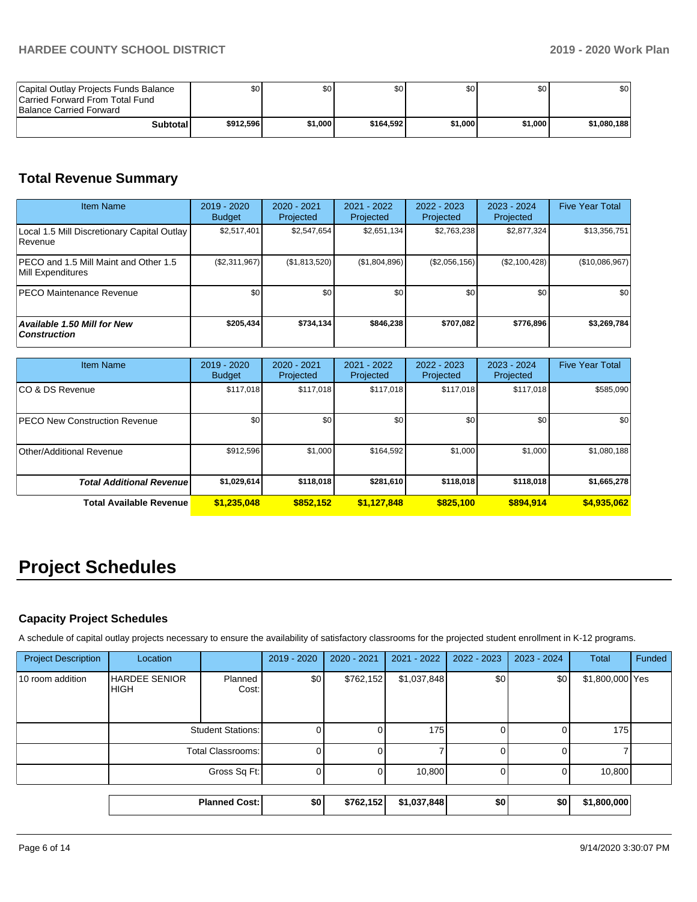| Capital Outlay Projects Funds Balance<br>Carried Forward From Total Fund<br><b>Balance Carried Forward</b> | SO I      | \$٥Ι    | \$0       | \$0     | \$0     | ا 30        |
|------------------------------------------------------------------------------------------------------------|-----------|---------|-----------|---------|---------|-------------|
| <b>Subtotal</b>                                                                                            | \$912,596 | \$1,000 | \$164.592 | \$1.000 | \$1.000 | \$1.080.188 |

# **Total Revenue Summary**

| <b>Item Name</b>                                                  | 2019 - 2020<br><b>Budget</b> | $2020 - 2021$<br>Projected | $2021 - 2022$<br>Projected | $2022 - 2023$<br>Projected | $2023 - 2024$<br>Projected | <b>Five Year Total</b> |
|-------------------------------------------------------------------|------------------------------|----------------------------|----------------------------|----------------------------|----------------------------|------------------------|
| Local 1.5 Mill Discretionary Capital Outlay<br><b>Revenue</b>     | \$2,517,401                  | \$2,547,654                | \$2,651,134                | \$2,763,238                | \$2,877,324                | \$13,356,751           |
| <b>PECO</b> and 1.5 Mill Maint and Other 1.5<br>Mill Expenditures | (\$2,311,967)                | (\$1,813,520)              | (\$1,804,896)              | (\$2,056,156)              | (\$2,100,428)              | (\$10,086,967)         |
| <b>PECO Maintenance Revenue</b>                                   | \$0                          | \$0 <sub>1</sub>           | \$0                        | \$0                        | \$0                        | \$0                    |
| <b>Available 1.50 Mill for New</b><br><b>Construction</b>         | \$205,434                    | \$734,134                  | \$846,238                  | \$707,082                  | \$776,896                  | \$3,269,784            |

| <b>Item Name</b>                     | $2019 - 2020$<br><b>Budget</b> | 2020 - 2021<br>Projected | 2021 - 2022<br>Projected | 2022 - 2023<br>Projected | 2023 - 2024<br>Projected | <b>Five Year Total</b> |
|--------------------------------------|--------------------------------|--------------------------|--------------------------|--------------------------|--------------------------|------------------------|
| ICO & DS Revenue                     | \$117,018                      | \$117,018                | \$117.018                | \$117,018                | \$117,018                | \$585,090              |
| <b>PECO New Construction Revenue</b> | \$0 <sub>1</sub>               | \$0                      | \$0                      | \$0                      | \$0 <sub>1</sub>         | \$0                    |
| Other/Additional Revenue             | \$912,596                      | \$1,000                  | \$164,592                | \$1,000                  | \$1,000                  | \$1,080,188            |
| <b>Total Additional Revenuel</b>     | \$1,029,614                    | \$118,018                | \$281.610                | \$118,018                | \$118,018                | \$1,665,278            |
| <b>Total Available Revenue</b>       | \$1,235,048                    | \$852.152                | \$1,127,848              | \$825,100                | \$894.914                | \$4,935,062            |

# **Project Schedules**

## **Capacity Project Schedules**

A schedule of capital outlay projects necessary to ensure the availability of satisfactory classrooms for the projected student enrollment in K-12 programs.

|                            |                                     | <b>Planned Cost:</b> | \$0         | \$762,152   | \$1,037,848   | \$0           | \$0         | \$1,800,000     |        |
|----------------------------|-------------------------------------|----------------------|-------------|-------------|---------------|---------------|-------------|-----------------|--------|
|                            |                                     |                      |             |             |               |               |             |                 |        |
|                            |                                     | Gross Sq Ft:         | 0           | 0           | 10,800        |               |             | 10,800          |        |
|                            | <b>Total Classrooms:</b>            |                      | 0           |             |               |               |             |                 |        |
|                            | <b>Student Stations:</b>            |                      | 0           |             | 175           |               |             | 175             |        |
| 10 room addition           | <b>HARDEE SENIOR</b><br><b>HIGH</b> | Planned<br>Cost:     | \$0         | \$762,152   | \$1,037,848   | \$0           | \$0         | \$1,800,000 Yes |        |
| <b>Project Description</b> | Location                            |                      | 2019 - 2020 | 2020 - 2021 | $2021 - 2022$ | $2022 - 2023$ | 2023 - 2024 | Total           | Funded |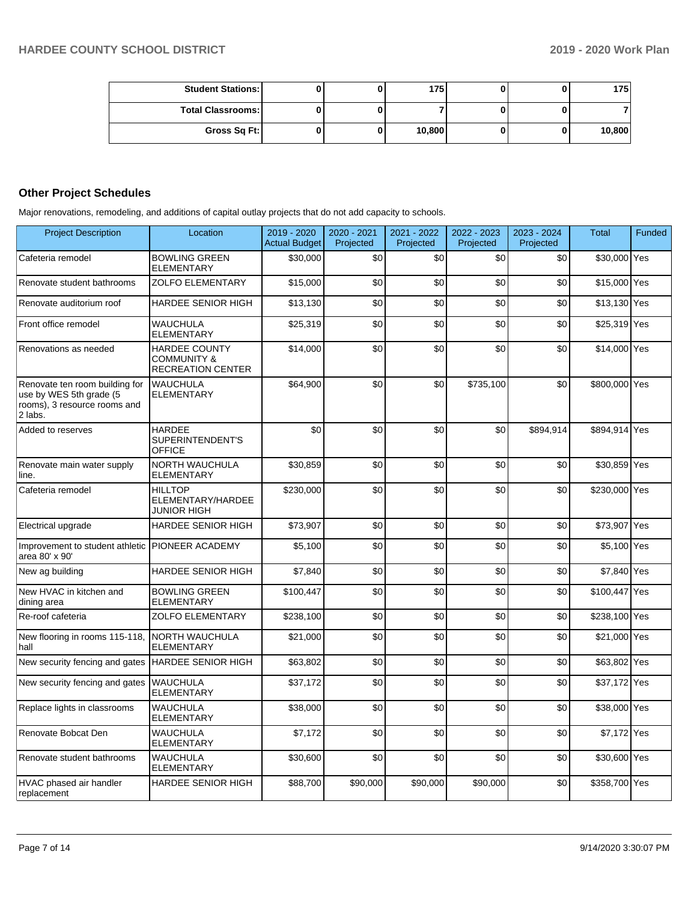| <b>Student Stations:</b> |  | 175    |  | 175    |
|--------------------------|--|--------|--|--------|
| <b>Total Classrooms:</b> |  |        |  |        |
| Gross Sq Ft:             |  | 10,800 |  | 10,800 |

## **Other Project Schedules**

Major renovations, remodeling, and additions of capital outlay projects that do not add capacity to schools.

| <b>Project Description</b>                                                                           | Location                                                                   | 2019 - 2020<br><b>Actual Budget</b> | 2020 - 2021<br>Projected | 2021 - 2022<br>Projected | 2022 - 2023<br>Projected | 2023 - 2024<br>Projected | <b>Total</b>  | Funded |
|------------------------------------------------------------------------------------------------------|----------------------------------------------------------------------------|-------------------------------------|--------------------------|--------------------------|--------------------------|--------------------------|---------------|--------|
| Cafeteria remodel                                                                                    | <b>BOWLING GREEN</b><br>ELEMENTARY                                         | \$30,000                            | \$0                      | \$0                      | \$0                      | \$0                      | \$30,000 Yes  |        |
| Renovate student bathrooms                                                                           | <b>ZOLFO ELEMENTARY</b>                                                    | \$15,000                            | \$0                      | \$0                      | \$0                      | \$0                      | \$15,000 Yes  |        |
| Renovate auditorium roof                                                                             | <b>HARDEE SENIOR HIGH</b>                                                  | \$13,130                            | \$0                      | \$0                      | \$0                      | \$0                      | \$13,130 Yes  |        |
| Front office remodel                                                                                 | WAUCHULA<br><b>ELEMENTARY</b>                                              | \$25,319                            | \$0                      | \$0                      | \$0                      | \$0                      | \$25,319 Yes  |        |
| Renovations as needed                                                                                | <b>HARDEE COUNTY</b><br><b>COMMUNITY &amp;</b><br><b>RECREATION CENTER</b> | \$14,000                            | \$0                      | \$0                      | \$0                      | \$0                      | \$14,000 Yes  |        |
| Renovate ten room building for<br>use by WES 5th grade (5<br>rooms), 3 resource rooms and<br>2 labs. | <b>WAUCHULA</b><br><b>ELEMENTARY</b>                                       | \$64,900                            | \$0                      | \$0                      | \$735,100                | \$0                      | \$800,000 Yes |        |
| Added to reserves                                                                                    | <b>HARDEE</b><br>SUPERINTENDENT'S<br>OFFICE                                | \$0                                 | \$0                      | \$0                      | \$0                      | \$894,914                | \$894,914 Yes |        |
| Renovate main water supply<br>line.                                                                  | <b>NORTH WAUCHULA</b><br>ELEMENTARY                                        | \$30,859                            | \$0                      | \$0                      | \$0                      | \$0                      | \$30,859 Yes  |        |
| Cafeteria remodel                                                                                    | <b>HILLTOP</b><br>ELEMENTARY/HARDEE<br><b>JUNIOR HIGH</b>                  | \$230,000                           | \$0                      | \$0                      | \$0                      | \$0                      | \$230,000 Yes |        |
| Electrical upgrade                                                                                   | HARDEE SENIOR HIGH                                                         | \$73,907                            | \$0                      | \$0                      | \$0                      | \$0                      | \$73,907 Yes  |        |
| Improvement to student athletic PIONEER ACADEMY<br>area 80' x 90'                                    |                                                                            | \$5.100                             | \$0                      | \$0                      | \$0                      | \$0                      | \$5,100 Yes   |        |
| New ag building                                                                                      | HARDEE SENIOR HIGH                                                         | \$7,840                             | \$0                      | \$0                      | \$0                      | \$0                      | \$7,840 Yes   |        |
| New HVAC in kitchen and<br>dining area                                                               | <b>BOWLING GREEN</b><br>ELEMENTARY                                         | \$100.447                           | \$0                      | \$0                      | \$0                      | \$0                      | \$100,447 Yes |        |
| Re-roof cafeteria                                                                                    | <b>ZOLFO ELEMENTARY</b>                                                    | \$238,100                           | \$0                      | \$0                      | \$0                      | \$0                      | \$238,100 Yes |        |
| New flooring in rooms 115-118,<br>hall                                                               | NORTH WAUCHULA<br><b>ELEMENTARY</b>                                        | \$21,000                            | \$0                      | \$0                      | \$0                      | \$0                      | \$21,000 Yes  |        |
| New security fencing and gates                                                                       | <b>HARDEE SENIOR HIGH</b>                                                  | \$63,802                            | \$0                      | \$0                      | \$0                      | \$0                      | \$63,802 Yes  |        |
| New security fencing and gates                                                                       | <b>WAUCHULA</b><br>ELEMENTARY                                              | \$37,172                            | \$0                      | \$0                      | \$0                      | \$0                      | \$37,172 Yes  |        |
| Replace lights in classrooms                                                                         | <b>WAUCHULA</b><br><b>ELEMENTARY</b>                                       | \$38,000                            | \$0                      | \$0                      | \$0                      | \$0                      | \$38,000 Yes  |        |
| Renovate Bobcat Den                                                                                  | <b>WAUCHULA</b><br>ELEMENTARY                                              | \$7,172                             | \$0                      | \$0                      | \$0                      | \$0                      | \$7,172 Yes   |        |
| Renovate student bathrooms                                                                           | <b>WAUCHULA</b><br><b>ELEMENTARY</b>                                       | \$30,600                            | \$0                      | \$0                      | \$0                      | \$0                      | \$30,600 Yes  |        |
| HVAC phased air handler<br>replacement                                                               | <b>HARDEE SENIOR HIGH</b>                                                  | \$88,700                            | \$90,000                 | \$90,000                 | \$90,000                 | \$0                      | \$358,700 Yes |        |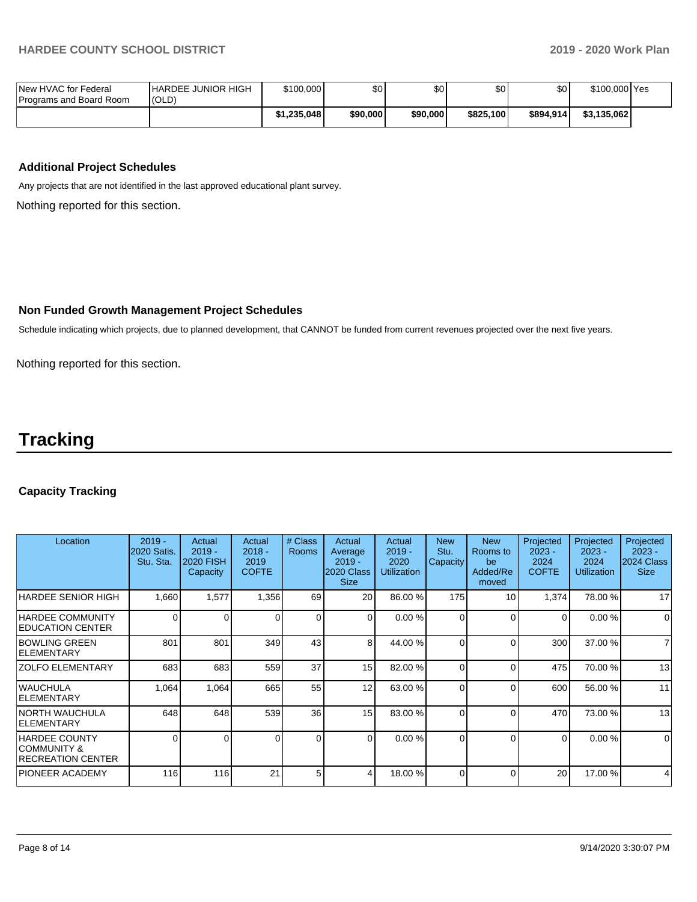| New HVAC for Federal<br>Programs and Board Room | <b>IHARDEE JUNIOR HIGH</b><br>(OLD) | \$100,000   | \$0      | \$0      | \$0       | \$0       | \$100,000 Yes |  |
|-------------------------------------------------|-------------------------------------|-------------|----------|----------|-----------|-----------|---------------|--|
|                                                 |                                     | \$1.235.048 | \$90,000 | \$90,000 | \$825.100 | \$894.914 | \$3,135,062   |  |

## **Additional Project Schedules**

Any projects that are not identified in the last approved educational plant survey.

Nothing reported for this section.

### **Non Funded Growth Management Project Schedules**

Schedule indicating which projects, due to planned development, that CANNOT be funded from current revenues projected over the next five years.

Nothing reported for this section.

# **Tracking**

## **Capacity Tracking**

| Location                                                                   | $2019 -$<br>2020 Satis.<br>Stu. Sta. | Actual<br>$2019 -$<br><b>2020 FISH</b><br>Capacity | Actual<br>$2018 -$<br>2019<br><b>COFTE</b> | # Class<br><b>Rooms</b> | Actual<br>Average<br>$2019 -$<br>2020 Class<br><b>Size</b> | Actual<br>$2019 -$<br>2020<br><b>Utilization</b> | <b>New</b><br>Stu.<br><b>Capacity</b> | <b>New</b><br>Rooms to<br>be<br>Added/Re<br>moved | Projected<br>$2023 -$<br>2024<br><b>COFTE</b> | Projected<br>$2023 -$<br>2024<br>Utilization | Projected<br>$2023 -$<br>2024 Class<br><b>Size</b> |
|----------------------------------------------------------------------------|--------------------------------------|----------------------------------------------------|--------------------------------------------|-------------------------|------------------------------------------------------------|--------------------------------------------------|---------------------------------------|---------------------------------------------------|-----------------------------------------------|----------------------------------------------|----------------------------------------------------|
| <b>HARDEE SENIOR HIGH</b>                                                  | 1,660                                | 1,577                                              | 1,356                                      | 69                      | <b>20</b>                                                  | 86.00 %                                          | 175                                   | 10                                                | 1,374                                         | 78.00 %                                      | 17                                                 |
| <b>HARDEE COMMUNITY</b><br><b>IEDUCATION CENTER</b>                        | $\Omega$                             |                                                    | $\Omega$                                   | $\Omega$                | $\Omega$                                                   | 0.00%                                            | $\Omega$                              | $\Omega$                                          | $\Omega$                                      | 0.00%                                        | $\Omega$                                           |
| <b>BOWLING GREEN</b><br><b>IELEMENTARY</b>                                 | 801                                  | 801                                                | 349                                        | 43                      | 8                                                          | 44.00 %                                          | $\Omega$                              | $\Omega$                                          | 300                                           | 37.00 %                                      | $\overline{7}$                                     |
| <b>ZOLFO ELEMENTARY</b>                                                    | 683                                  | 683                                                | 559                                        | 37                      | 15 <sup>1</sup>                                            | 82.00 %                                          | $\Omega$                              | $\Omega$                                          | 475                                           | 70.00 %                                      | 13                                                 |
| <b>WAUCHULA</b><br><b>IELEMENTARY</b>                                      | 1,064                                | 1,064                                              | 665                                        | 55                      | 12                                                         | 63.00 %                                          | 0                                     | $\Omega$                                          | 600                                           | 56.00 %                                      | 11                                                 |
| INORTH WAUCHULA<br><b>IELEMENTARY</b>                                      | 648                                  | 648                                                | 539                                        | 36                      | 15 <sup>1</sup>                                            | 83.00 %                                          | 0                                     | 0                                                 | 470                                           | 73.00 %                                      | 13                                                 |
| <b>HARDEE COUNTY</b><br><b>COMMUNITY &amp;</b><br><b>RECREATION CENTER</b> | 0                                    |                                                    | 0                                          | $\Omega$                | $\Omega$                                                   | 0.00%                                            | <sup>0</sup>                          | $\Omega$                                          | $\Omega$                                      | 0.00%                                        | $\overline{0}$                                     |
| <b>PIONEER ACADEMY</b>                                                     | 116                                  | 116                                                | 21                                         | 5                       | 4                                                          | 18.00 %                                          |                                       | ∩                                                 | 20                                            | 17.00 %                                      | 4                                                  |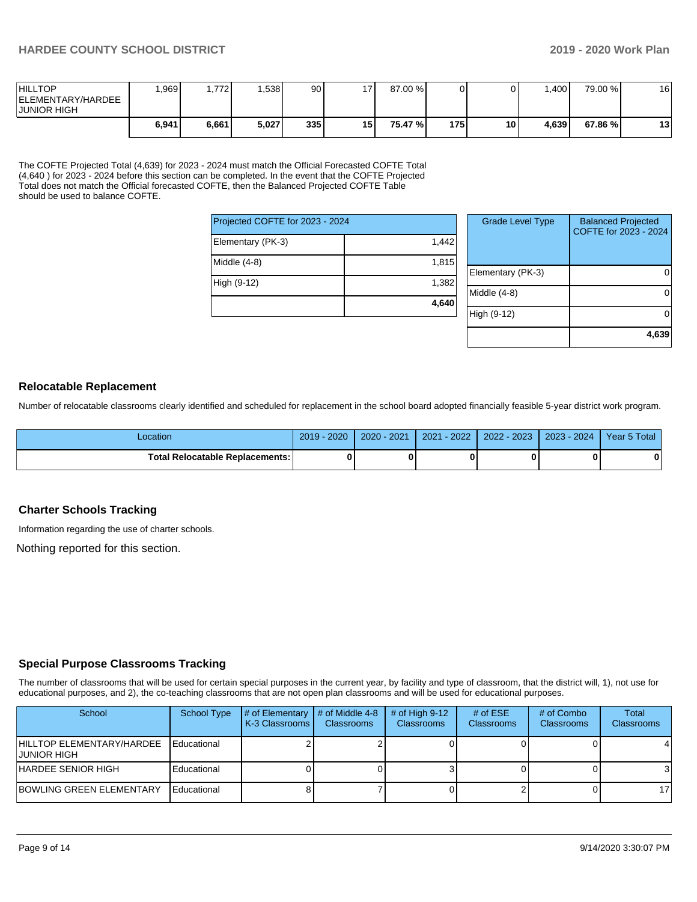| <b>HILLTOP</b><br>IELEMENTARY/HARDEE<br><b>JUNIOR HIGH</b> | ,969  | .7721 | .538  | 90  | 17 <sup>1</sup> | 87.00 % |     |    | $.400 \square$ | 79.00 % | 16 |
|------------------------------------------------------------|-------|-------|-------|-----|-----------------|---------|-----|----|----------------|---------|----|
|                                                            | 6,941 | 6,661 | 5,027 | 335 | 15 I            | 75.47 % | 175 | 10 | 4.639          | 67.86 % | 13 |

The COFTE Projected Total (4,639) for 2023 - 2024 must match the Official Forecasted COFTE Total (4,640) for 2023 - 2024 before this section can be completed. In the event that the COFTE Projected Total does not match the Official forecasted COFTE, then the Balanced Projected COFTE Table should be used to balance COFTE.

| Projected COFTE for 2023 - 2024 |       |
|---------------------------------|-------|
| Elementary (PK-3)               | 1,442 |
| Middle (4-8)                    | 1,815 |
| High (9-12)                     | 1,382 |
|                                 | 4,640 |

| <b>Grade Level Type</b> | <b>Balanced Projected</b><br>COFTE for 2023 - 2024 |
|-------------------------|----------------------------------------------------|
| Elementary (PK-3)       |                                                    |
| Middle (4-8)            |                                                    |
| High (9-12)             |                                                    |
|                         | 4,639                                              |

## **Relocatable Replacement**

Number of relocatable classrooms clearly identified and scheduled for replacement in the school board adopted financially feasible 5-year district work program.

| ∟ocation                               | $2019 - 2020$ | 2020 - 2021 | $2021 - 2022$ | $2022 - 2023$ | 2023 - 2024 | Year 5 Total |
|----------------------------------------|---------------|-------------|---------------|---------------|-------------|--------------|
| <b>Total Relocatable Replacements:</b> |               |             |               |               |             | 0            |

### **Charter Schools Tracking**

Information regarding the use of charter schools.

Nothing reported for this section.

### **Special Purpose Classrooms Tracking**

The number of classrooms that will be used for certain special purposes in the current year, by facility and type of classroom, that the district will, 1), not use for educational purposes, and 2), the co-teaching classrooms that are not open plan classrooms and will be used for educational purposes.

| School                                    | School Type | $\#$ of Elementary $\#$ of Middle 4-8<br>K-3 Classrooms | Classrooms | # of High $9-12$<br>Classrooms | # of $ESE$<br>Classrooms | # of Combo<br><b>Classrooms</b> | Total<br><b>Classrooms</b> |
|-------------------------------------------|-------------|---------------------------------------------------------|------------|--------------------------------|--------------------------|---------------------------------|----------------------------|
| HILLTOP ELEMENTARY/HARDEE<br>IJUNIOR HIGH | Educational |                                                         |            |                                |                          |                                 |                            |
| HARDEE SENIOR HIGH                        | Educational |                                                         |            |                                |                          |                                 |                            |
| IBOWLING GREEN ELEMENTARY                 | Educational |                                                         |            |                                |                          |                                 | 17                         |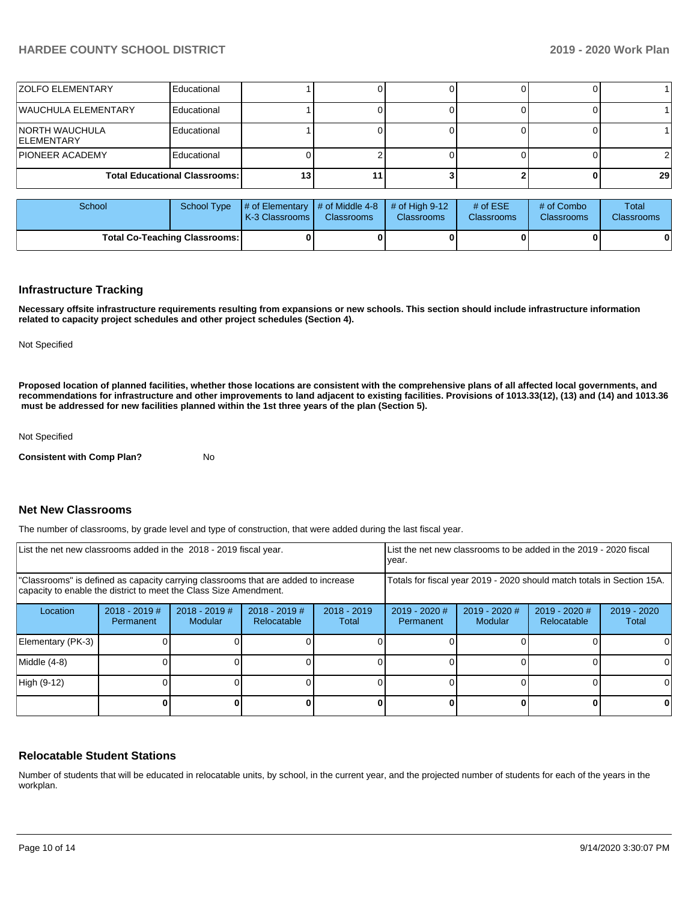| <b>ZOLFO ELEMENTARY</b>      | Educational                          |  |  |                 |
|------------------------------|--------------------------------------|--|--|-----------------|
| WAUCHULA ELEMENTARY          | Educational                          |  |  |                 |
| NORTH WAUCHULA<br>ELEMENTARY | Educational                          |  |  |                 |
| <b>PIONEER ACADEMY</b>       | Educational                          |  |  |                 |
|                              | <b>Total Educational Classrooms:</b> |  |  | 29 <sub>1</sub> |

| School                               | School Type | $\sharp$ of Elementary $\sharp$ of Middle 4-8 $\sharp$ of High 9-12<br><b>K-3 Classrooms I</b> | <b>Classrooms</b> | <b>Classrooms</b> | # of $ESE$<br><b>Classrooms</b> | # of Combo<br>Classrooms | Total<br><b>Classrooms</b> |
|--------------------------------------|-------------|------------------------------------------------------------------------------------------------|-------------------|-------------------|---------------------------------|--------------------------|----------------------------|
| <b>Total Co-Teaching Classrooms:</b> |             |                                                                                                |                   | 0                 |                                 | 0                        | 0                          |

#### **Infrastructure Tracking**

**Necessary offsite infrastructure requirements resulting from expansions or new schools. This section should include infrastructure information related to capacity project schedules and other project schedules (Section 4).** 

Not Specified

**Proposed location of planned facilities, whether those locations are consistent with the comprehensive plans of all affected local governments, and recommendations for infrastructure and other improvements to land adjacent to existing facilities. Provisions of 1013.33(12), (13) and (14) and 1013.36** must be addressed for new facilities planned within the 1st three years of the plan (Section 5).

Not Specified

**Consistent with Comp Plan?** No

## **Net New Classrooms**

The number of classrooms, by grade level and type of construction, that were added during the last fiscal year.

| List the net new classrooms added in the 2018 - 2019 fiscal year.                                                                                       |                              |                                   |                                |                                                                        | List the net new classrooms to be added in the 2019 - 2020 fiscal<br>year. |                          |                                     |                      |
|---------------------------------------------------------------------------------------------------------------------------------------------------------|------------------------------|-----------------------------------|--------------------------------|------------------------------------------------------------------------|----------------------------------------------------------------------------|--------------------------|-------------------------------------|----------------------|
| "Classrooms" is defined as capacity carrying classrooms that are added to increase<br>capacity to enable the district to meet the Class Size Amendment. |                              |                                   |                                | Totals for fiscal year 2019 - 2020 should match totals in Section 15A. |                                                                            |                          |                                     |                      |
| Location                                                                                                                                                | $2018 - 2019$ #<br>Permanent | $2018 - 2019$ #<br><b>Modular</b> | $2018 - 2019$ #<br>Relocatable | $2018 - 2019$<br>Total                                                 | $2019 - 2020$ #<br>Permanent                                               | 2019 - 2020 #<br>Modular | 2019 - 2020 #<br><b>Relocatable</b> | 2019 - 2020<br>Total |
| Elementary (PK-3)                                                                                                                                       |                              |                                   |                                |                                                                        |                                                                            |                          |                                     |                      |
| Middle (4-8)                                                                                                                                            |                              |                                   |                                |                                                                        |                                                                            |                          |                                     |                      |
| High (9-12)                                                                                                                                             |                              |                                   |                                |                                                                        |                                                                            |                          |                                     |                      |
|                                                                                                                                                         |                              |                                   |                                |                                                                        |                                                                            |                          |                                     |                      |

### **Relocatable Student Stations**

Number of students that will be educated in relocatable units, by school, in the current year, and the projected number of students for each of the years in the workplan.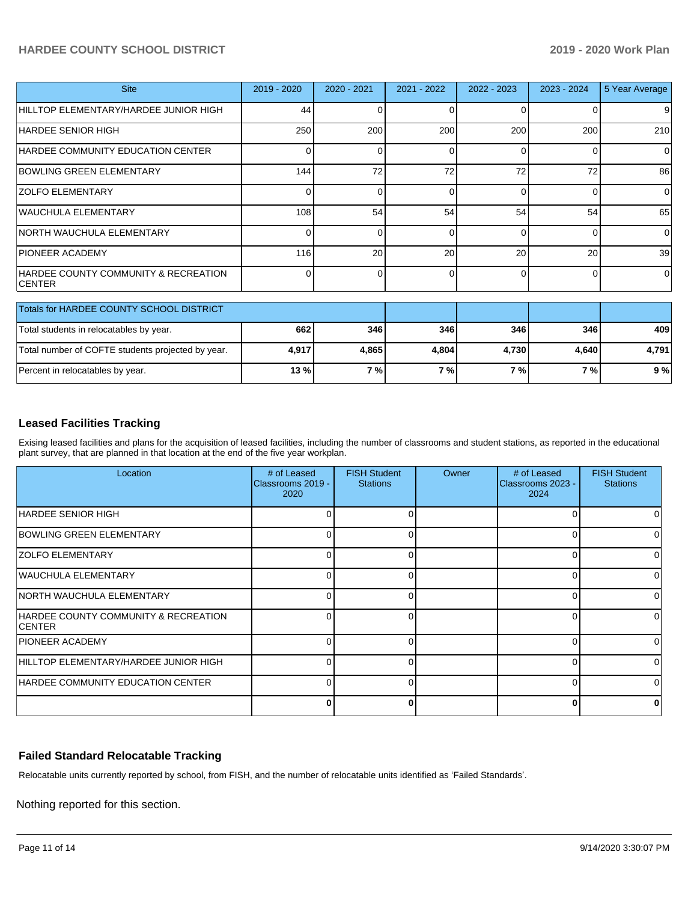## **HARDEE COUNTY SCHOOL DISTRICT 2019 - 2020 Work Plan**

| <b>Site</b>                                            | 2019 - 2020 | 2020 - 2021 | 2021 - 2022 | 2022 - 2023 | 2023 - 2024 | 5 Year Average |
|--------------------------------------------------------|-------------|-------------|-------------|-------------|-------------|----------------|
| HILLTOP ELEMENTARY/HARDEE JUNIOR HIGH                  | 44          |             | 0           | 0           |             | 9              |
| IHARDEE SENIOR HIGH                                    | 250         | 200         | 200         | 200         | 200         | 210            |
| HARDEE COMMUNITY EDUCATION CENTER                      | $\Omega$    |             | 0           | $\Omega$    |             | $\Omega$       |
| <b>BOWLING GREEN ELEMENTARY</b>                        | 144         | 72          | 72          | 72          | 72          | 86             |
| <b>ZOLFO ELEMENTARY</b>                                | $\Omega$    |             | 0           | $\Omega$    | 0           | $\Omega$       |
| WAUCHULA ELEMENTARY                                    | 108         | 54          | 54          | 54          | 54          | 65             |
| NORTH WAUCHULA ELEMENTARY                              | 0           | 0           | 0           | $\Omega$    | 0           | $\Omega$       |
| <b>PIONEER ACADEMY</b>                                 | 116         | 20          | 20          | 20          | 20          | 39             |
| HARDEE COUNTY COMMUNITY & RECREATION<br><b>ICENTER</b> | $\Omega$    |             | 0           | $\Omega$    | 0           | $\Omega$       |
| Totals for HARDEE COUNTY SCHOOL DISTRICT               |             |             |             |             |             |                |
| Total students in relocatables by year.                | 662         | 346         | 346         | 346         | 346         | 409            |
| Total number of COFTE students projected by year.      | 4,917       | 4,865       | 4,804       | 4,730       | 4,640       | 4,791          |

## **Leased Facilities Tracking**

Exising leased facilities and plans for the acquisition of leased facilities, including the number of classrooms and student stations, as reported in the educational plant survey, that are planned in that location at the end of the five year workplan.

Percent in relocatables by year. **13 % 7 % 7 % 7 % 7 % 9 %**

| Location                                               | # of Leased<br>Classrooms 2019 -<br>2020 | <b>FISH Student</b><br><b>Stations</b> | Owner | # of Leased<br>Classrooms 2023 -<br>2024 | <b>FISH Student</b><br><b>Stations</b> |
|--------------------------------------------------------|------------------------------------------|----------------------------------------|-------|------------------------------------------|----------------------------------------|
| HARDEE SENIOR HIGH                                     |                                          |                                        |       | O                                        |                                        |
| <b>BOWLING GREEN ELEMENTARY</b>                        |                                          |                                        |       | 0                                        |                                        |
| <b>ZOLFO ELEMENTARY</b>                                | n                                        |                                        |       | U                                        |                                        |
| WAUCHULA ELEMENTARY                                    | <sup>0</sup>                             |                                        |       | 0                                        | ∩                                      |
| <b>NORTH WAUCHULA ELEMENTARY</b>                       | $\Omega$                                 |                                        |       | 0                                        | ∩                                      |
| HARDEE COUNTY COMMUNITY & RECREATION<br><b>ICENTER</b> | ∩                                        |                                        |       | 0                                        |                                        |
| <b>PIONEER ACADEMY</b>                                 | n                                        |                                        |       | U                                        |                                        |
| HILLTOP ELEMENTARY/HARDEE JUNIOR HIGH                  | ∩                                        |                                        |       | O                                        | ∩                                      |
| HARDEE COMMUNITY EDUCATION CENTER                      | $\Omega$                                 |                                        |       | 0                                        | ∩                                      |
|                                                        | Ω                                        |                                        |       | $\bf{0}$                                 |                                        |

### **Failed Standard Relocatable Tracking**

Relocatable units currently reported by school, from FISH, and the number of relocatable units identified as 'Failed Standards'.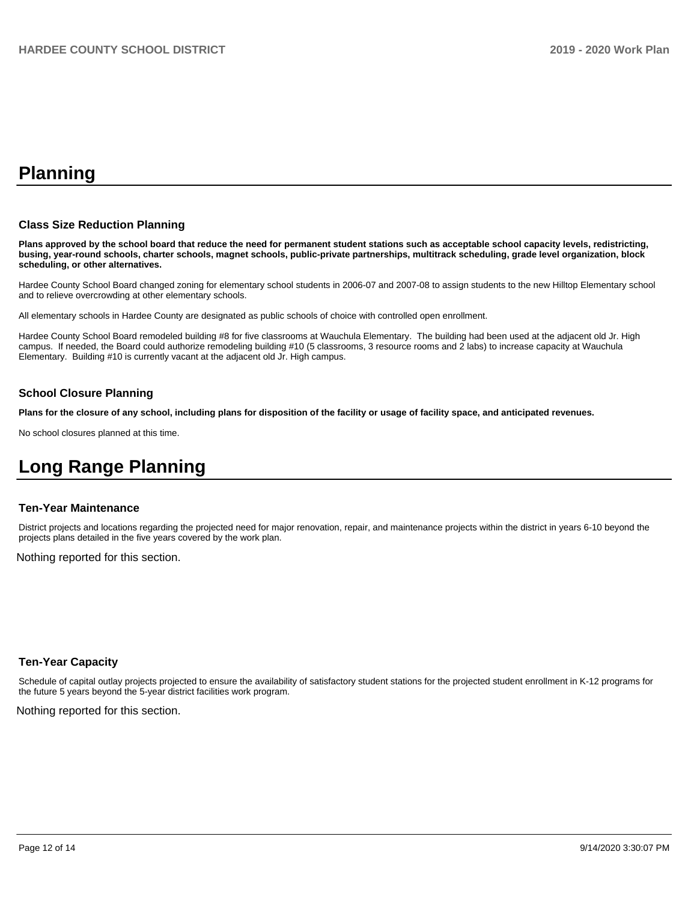# **Planning**

#### **Class Size Reduction Planning**

**Plans approved by the school board that reduce the need for permanent student stations such as acceptable school capacity levels, redistricting, busing, year-round schools, charter schools, magnet schools, public-private partnerships, multitrack scheduling, grade level organization, block scheduling, or other alternatives.**

Hardee County School Board changed zoning for elementary school students in 2006-07 and 2007-08 to assign students to the new Hilltop Elementary school and to relieve overcrowding at other elementary schools.

All elementary schools in Hardee County are designated as public schools of choice with controlled open enrollment.

Hardee County School Board remodeled building #8 for five classrooms at Wauchula Elementary. The building had been used at the adjacent old Jr. High campus. If needed, the Board could authorize remodeling building #10 (5 classrooms, 3 resource rooms and 2 labs) to increase capacity at Wauchula Elementary. Building #10 is currently vacant at the adjacent old Jr. High campus.

#### **School Closure Planning**

**Plans for the closure of any school, including plans for disposition of the facility or usage of facility space, and anticipated revenues.** 

No school closures planned at this time.

# **Long Range Planning**

#### **Ten-Year Maintenance**

District projects and locations regarding the projected need for major renovation, repair, and maintenance projects within the district in years 6-10 beyond the projects plans detailed in the five years covered by the work plan.

Nothing reported for this section.

### **Ten-Year Capacity**

Schedule of capital outlay projects projected to ensure the availability of satisfactory student stations for the projected student enrollment in K-12 programs for the future 5 years beyond the 5-year district facilities work program.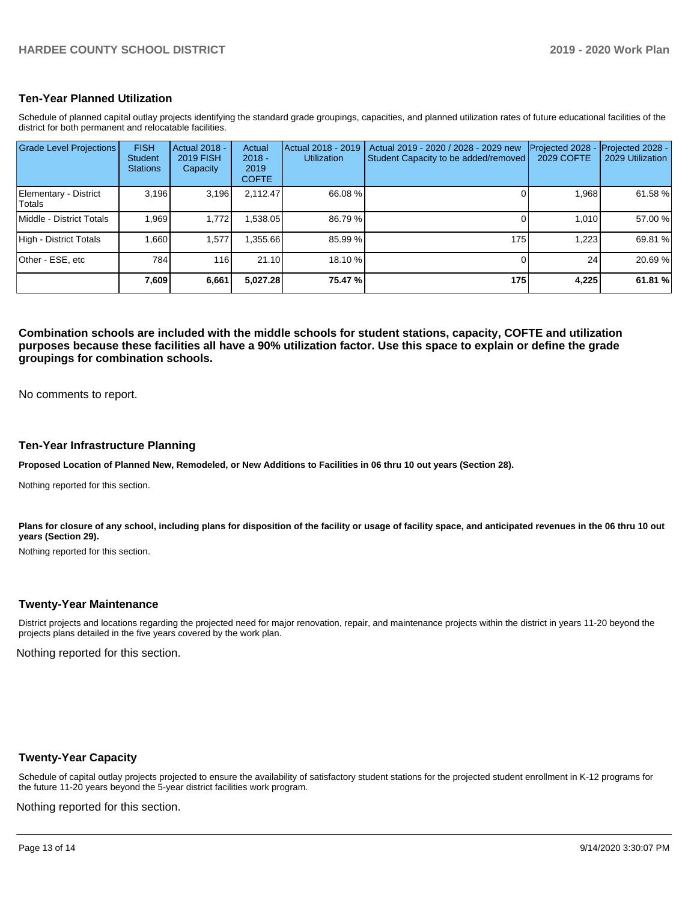### **Ten-Year Planned Utilization**

Schedule of planned capital outlay projects identifying the standard grade groupings, capacities, and planned utilization rates of future educational facilities of the district for both permanent and relocatable facilities.

| <b>Grade Level Projections</b>  | <b>FISH</b><br><b>Student</b><br><b>Stations</b> | Actual 2018 -<br><b>2019 FISH</b><br>Capacity | Actual<br>$2018 -$<br>2019<br><b>COFTE</b> | Actual 2018 - 2019<br><b>Utilization</b> | Actual 2019 - 2020 / 2028 - 2029 new<br>Student Capacity to be added/removed | Projected 2028<br><b>2029 COFTE</b> | Projected 2028 -<br>2029 Utilization |
|---------------------------------|--------------------------------------------------|-----------------------------------------------|--------------------------------------------|------------------------------------------|------------------------------------------------------------------------------|-------------------------------------|--------------------------------------|
| Elementary - District<br>Totals | 3,196                                            | 3,196                                         | 2,112.47                                   | 66.08 %                                  |                                                                              | 1,968                               | 61.58 %                              |
| Middle - District Totals        | 1.969                                            | 1.772                                         | .538.05                                    | 86.79%                                   |                                                                              | 1.010                               | 57.00 %                              |
| High - District Totals          | 1.660                                            | 1,577                                         | .355.66                                    | 85.99 %                                  | 175 <sub>1</sub>                                                             | 1.223                               | 69.81 %                              |
| Other - ESE, etc                | 784                                              | 116                                           | 21.10                                      | 18.10 %                                  |                                                                              | 24                                  | 20.69%                               |
|                                 | 7,609                                            | 6,661                                         | 5,027.28                                   | 75.47 %                                  | 175                                                                          | 4,225                               | 61.81%                               |

**Combination schools are included with the middle schools for student stations, capacity, COFTE and utilization purposes because these facilities all have a 90% utilization factor. Use this space to explain or define the grade groupings for combination schools.** 

No comments to report.

#### **Ten-Year Infrastructure Planning**

**Proposed Location of Planned New, Remodeled, or New Additions to Facilities in 06 thru 10 out years (Section 28).**

Nothing reported for this section.

Plans for closure of any school, including plans for disposition of the facility or usage of facility space, and anticipated revenues in the 06 thru 10 out **years (Section 29).**

Nothing reported for this section.

#### **Twenty-Year Maintenance**

District projects and locations regarding the projected need for major renovation, repair, and maintenance projects within the district in years 11-20 beyond the projects plans detailed in the five years covered by the work plan.

Nothing reported for this section.

### **Twenty-Year Capacity**

Schedule of capital outlay projects projected to ensure the availability of satisfactory student stations for the projected student enrollment in K-12 programs for the future 11-20 years beyond the 5-year district facilities work program.